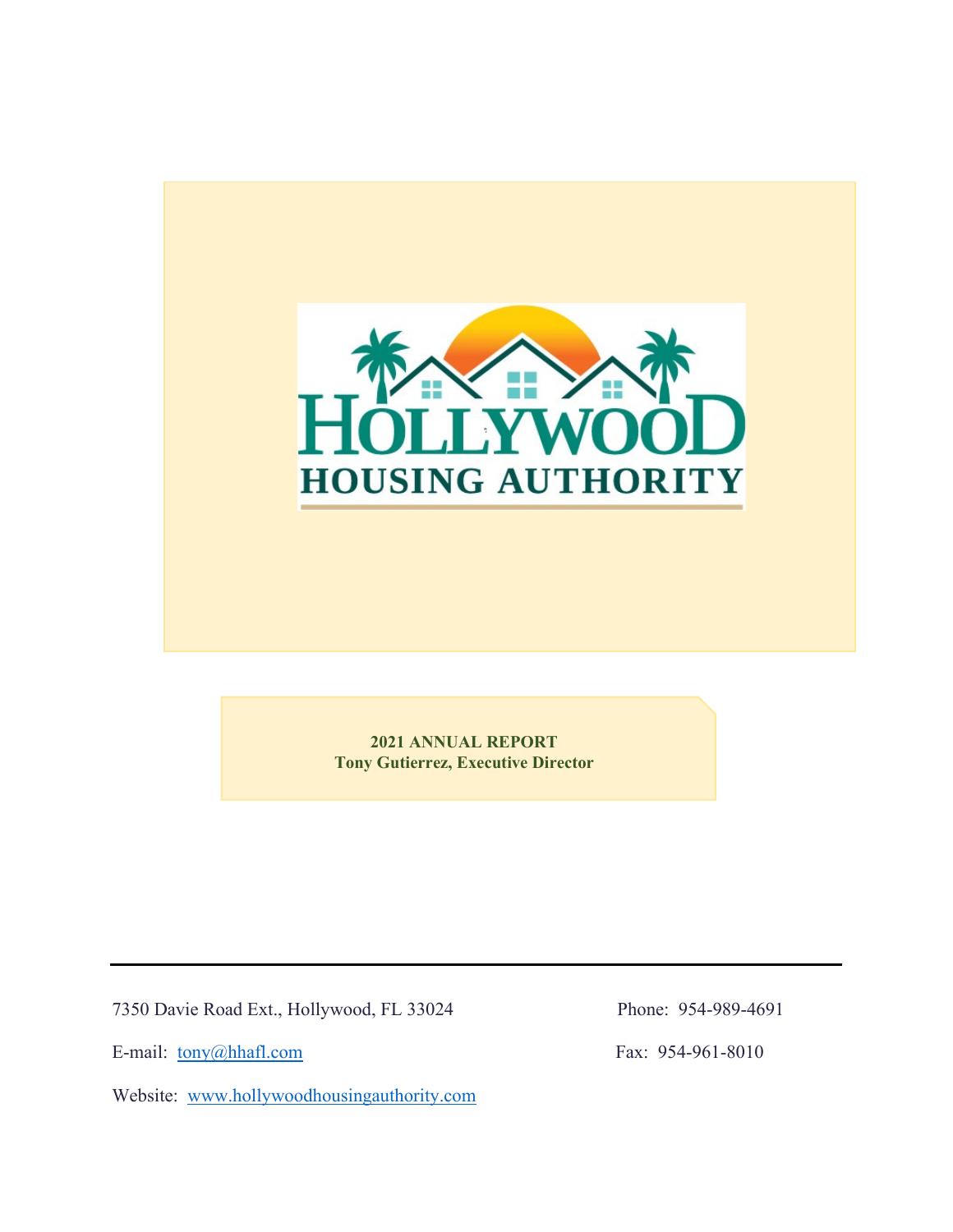

**2021 ANNUAL REPORT Tony Gutierrez, Executive Director**

7350 Davie Road Ext., Hollywood, FL 33024 Phone: 954-989-4691

E-mail: [tony@hhafl.com](mailto:tony@hhafl.com) Fax: 954-961-8010

Website: [www.hollywoodhousingauthority.com](http://www.hollywoodhousingauthority.com/)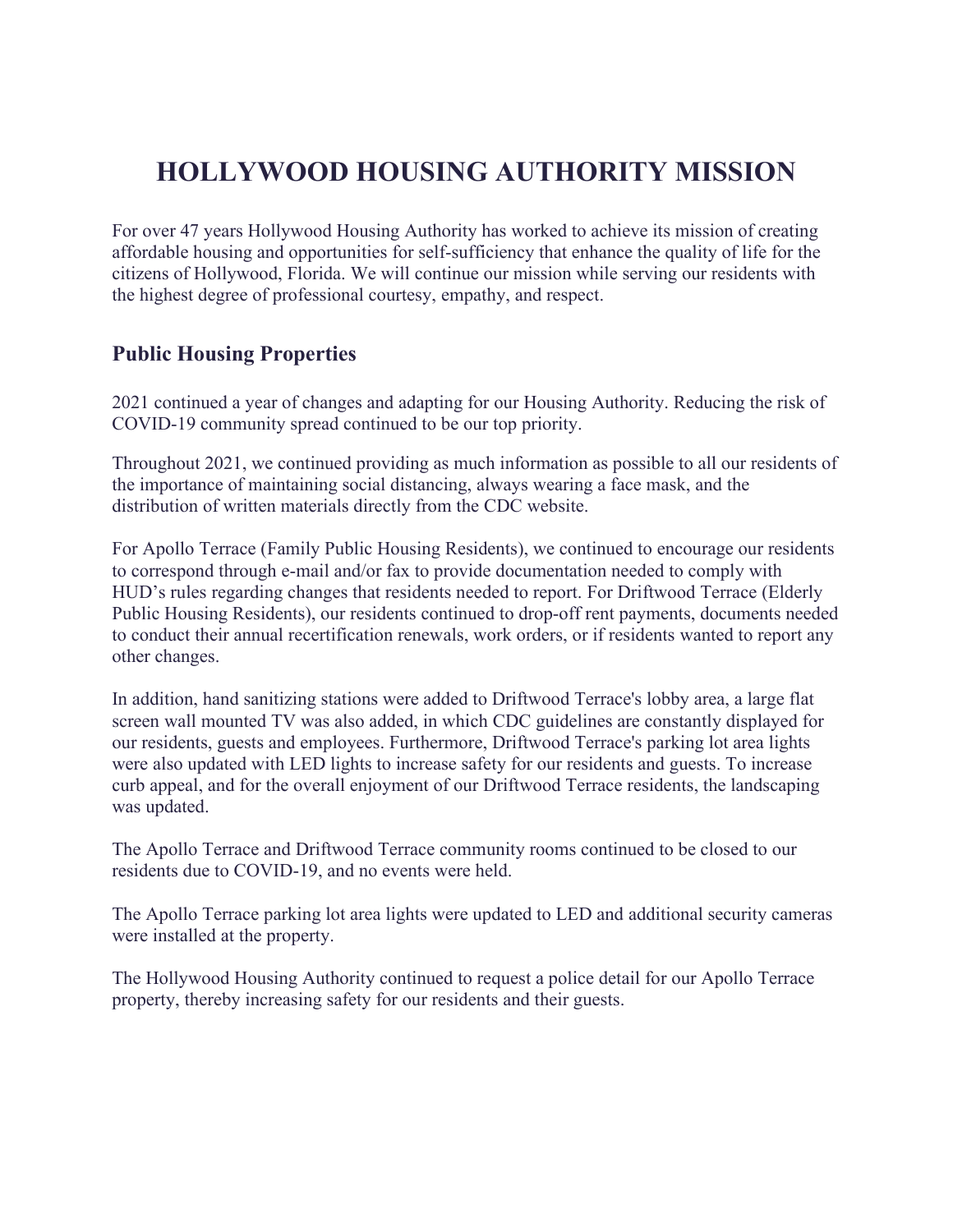# **HOLLYWOOD HOUSING AUTHORITY MISSION**

For over 47 years Hollywood Housing Authority has worked to achieve its mission of creating affordable housing and opportunities for self-sufficiency that enhance the quality of life for the citizens of Hollywood, Florida. We will continue our mission while serving our residents with the highest degree of professional courtesy, empathy, and respect.

## **Public Housing Properties**

2021 continued a year of changes and adapting for our Housing Authority. Reducing the risk of COVID-19 community spread continued to be our top priority.

Throughout 2021, we continued providing as much information as possible to all our residents of the importance of maintaining social distancing, always wearing a face mask, and the distribution of written materials directly from the CDC website.

For Apollo Terrace (Family Public Housing Residents), we continued to encourage our residents to correspond through e-mail and/or fax to provide documentation needed to comply with HUD's rules regarding changes that residents needed to report. For Driftwood Terrace (Elderly Public Housing Residents), our residents continued to drop-off rent payments, documents needed to conduct their annual recertification renewals, work orders, or if residents wanted to report any other changes.

In addition, hand sanitizing stations were added to Driftwood Terrace's lobby area, a large flat screen wall mounted TV was also added, in which CDC guidelines are constantly displayed for our residents, guests and employees. Furthermore, Driftwood Terrace's parking lot area lights were also updated with LED lights to increase safety for our residents and guests. To increase curb appeal, and for the overall enjoyment of our Driftwood Terrace residents, the landscaping was updated.

The Apollo Terrace and Driftwood Terrace community rooms continued to be closed to our residents due to COVID-19, and no events were held.

The Apollo Terrace parking lot area lights were updated to LED and additional security cameras were installed at the property.

The Hollywood Housing Authority continued to request a police detail for our Apollo Terrace property, thereby increasing safety for our residents and their guests.